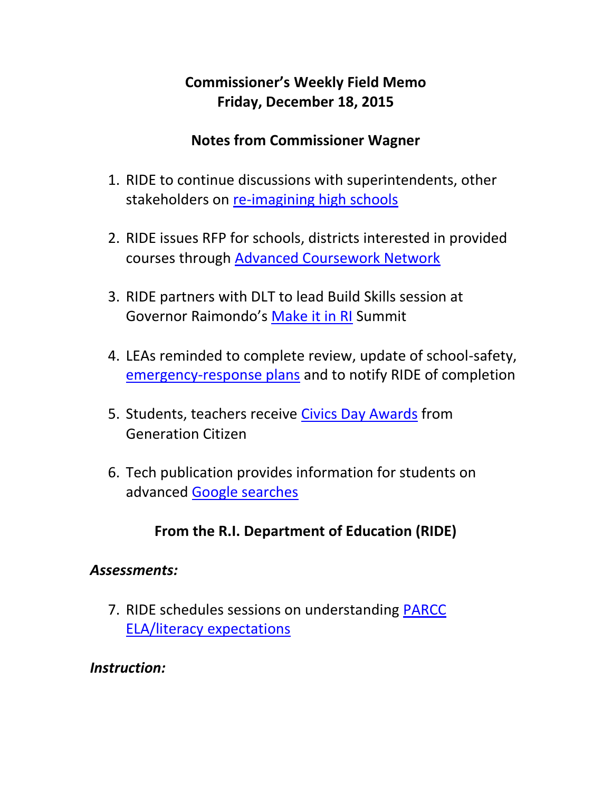## **Commissioner's Weekly Field Memo Friday, December 18, 2015**

### **Notes from Commissioner Wagner**

- 1. RIDE to continue discussions with superintendents, other stakeholders on [re-imagining high schools](#page-2-0)
- 2. RIDE issues RFP for schools, districts interested in provided courses through [Advanced Coursework Network](#page-3-0)
- 3. RIDE partners with DLT to lead Build Skills session at Governor Raimondo's [Make it in RI](#page-4-0) Summit
- 4. LEAs reminded to complete review, update of school-safety, [emergency-response plans](#page-4-1) and to notify RIDE of completion
- 5. Students, teachers receive [Civics Day Awards](#page-2-0) from Generation Citizen
- 6. Tech publication provides information for students on advanced [Google searches](#page-6-0)

# **From the R.I. Department of Education (RIDE)**

### *Assessments:*

7. RIDE schedules sessions on understanding [PARCC](#page-7-0)  [ELA/literacy expectations](#page-7-0)

### *Instruction:*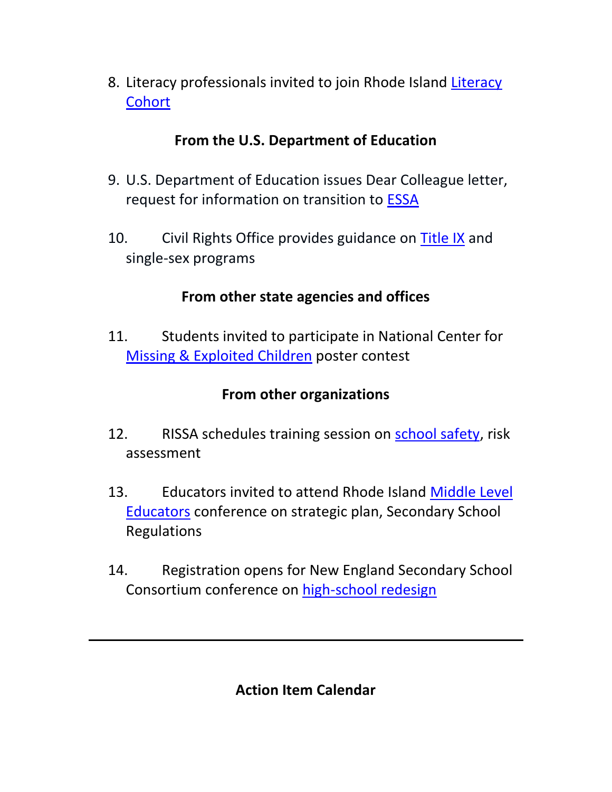8. Literacy professionals invited to join Rhode Island [Literacy](#page-8-0)  **[Cohort](#page-8-0)** 

### **From the U.S. Department of Education**

- 9. U.S. Department of Education issues Dear Colleague letter, request for information on transition to [ESSA](#page-9-0)
- 10. Civil Rights Office provides guidance on [Title IX](#page-9-0) and single-sex programs

## **From other state agencies and offices**

11. Students invited to participate in National Center for [Missing & Exploited Children](#page-11-0) poster contest

## **From other organizations**

- 12. RISSA schedules training session on [school safety,](#page-12-0) risk assessment
- 13. Educators invited to attend Rhode Island Middle Level [Educators](#page-13-0) conference on strategic plan, Secondary School Regulations
- 14. Registration opens for New England Secondary School Consortium conference on [high-school redesign](#page-13-0)

**Action Item Calendar**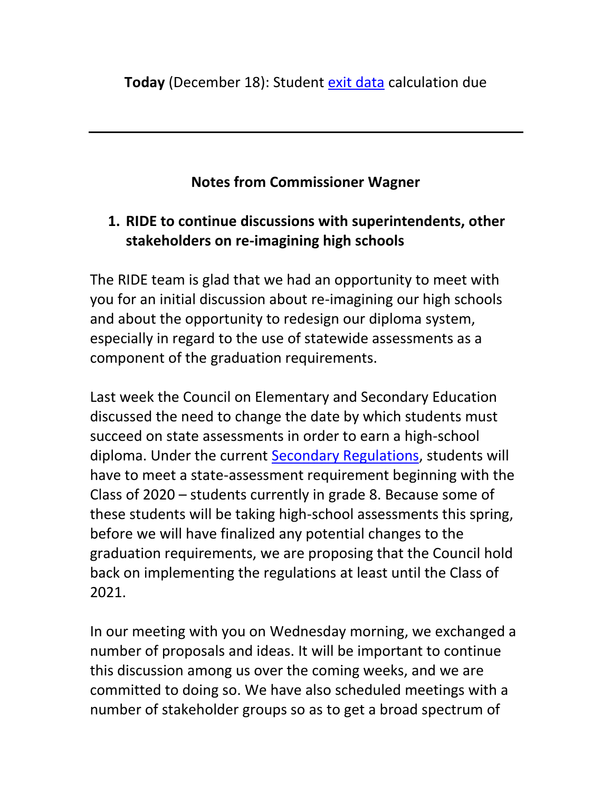# **Notes from Commissioner Wagner**

# <span id="page-2-0"></span>**1. RIDE to continue discussions with superintendents, other stakeholders on re-imagining high schools**

The RIDE team is glad that we had an opportunity to meet with you for an initial discussion about re-imagining our high schools and about the opportunity to redesign our diploma system, especially in regard to the use of statewide assessments as a component of the graduation requirements.

Last week the Council on Elementary and Secondary Education discussed the need to change the date by which students must succeed on state assessments in order to earn a high-school diploma. Under the current [Secondary Regulations,](http://sos.ri.gov/documents/archives/regdocs/released/pdf/DESE/7925.pdf) students will have to meet a state-assessment requirement beginning with the Class of 2020 – students currently in grade 8. Because some of these students will be taking high-school assessments this spring, before we will have finalized any potential changes to the graduation requirements, we are proposing that the Council hold back on implementing the regulations at least until the Class of 2021.

In our meeting with you on Wednesday morning, we exchanged a number of proposals and ideas. It will be important to continue this discussion among us over the coming weeks, and we are committed to doing so. We have also scheduled meetings with a number of stakeholder groups so as to get a broad spectrum of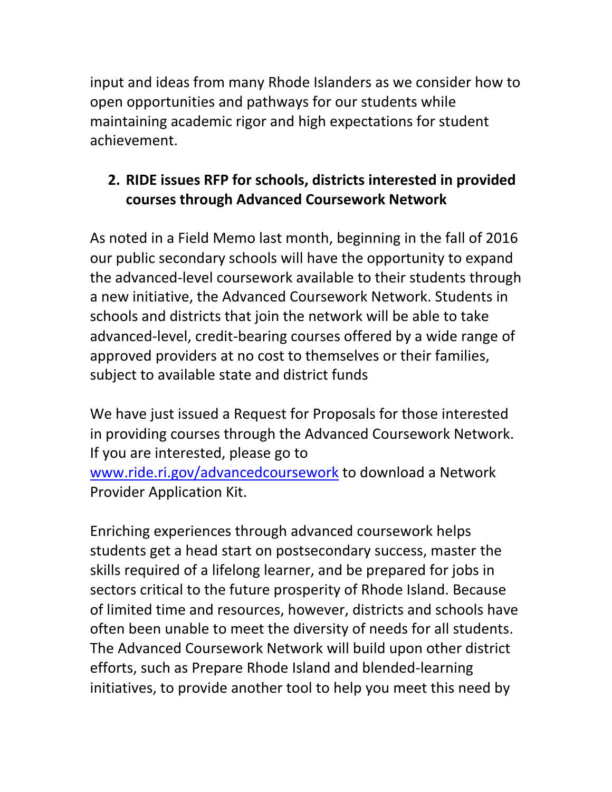input and ideas from many Rhode Islanders as we consider how to open opportunities and pathways for our students while maintaining academic rigor and high expectations for student achievement.

# <span id="page-3-0"></span>**2. RIDE issues RFP for schools, districts interested in provided courses through Advanced Coursework Network**

As noted in a Field Memo last month, beginning in the fall of 2016 our public secondary schools will have the opportunity to expand the advanced-level coursework available to their students through a new initiative, the Advanced Coursework Network. Students in schools and districts that join the network will be able to take advanced-level, credit-bearing courses offered by a wide range of approved providers at no cost to themselves or their families, subject to available state and district funds

We have just issued a Request for Proposals for those interested in providing courses through the Advanced Coursework Network. If you are interested, please go to [www.ride.ri.gov/advancedcoursework](http://www.ride.ri.gov/advancedcoursework) to download a Network Provider Application Kit.

Enriching experiences through advanced coursework helps students get a head start on postsecondary success, master the skills required of a lifelong learner, and be prepared for jobs in sectors critical to the future prosperity of Rhode Island. Because of limited time and resources, however, districts and schools have often been unable to meet the diversity of needs for all students. The Advanced Coursework Network will build upon other district efforts, such as Prepare Rhode Island and blended-learning initiatives, to provide another tool to help you meet this need by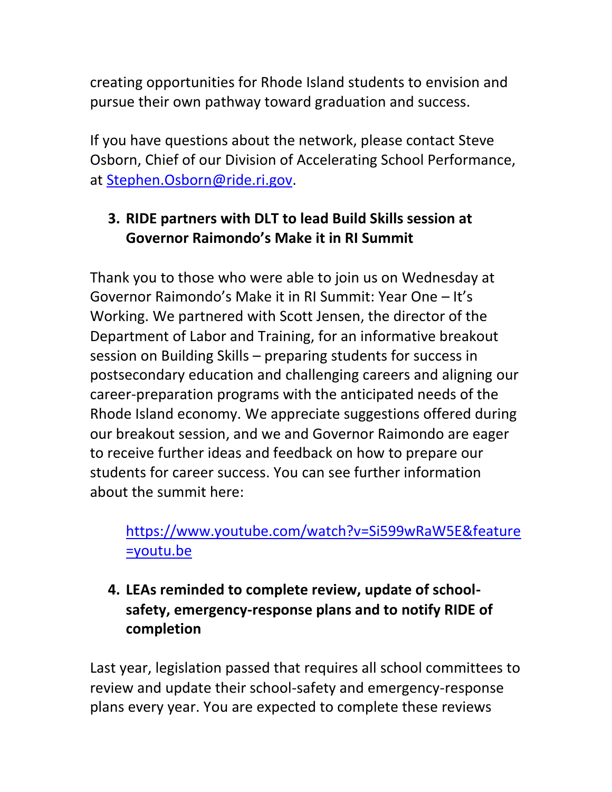creating opportunities for Rhode Island students to envision and pursue their own pathway toward graduation and success.

If you have questions about the network, please contact Steve Osborn, Chief of our Division of Accelerating School Performance, at [Stephen.Osborn@ride.ri.gov.](mailto:Stephen.Osborn@ride.ri.gov)

# <span id="page-4-0"></span>**3. RIDE partners with DLT to lead Build Skills session at Governor Raimondo's Make it in RI Summit**

Thank you to those who were able to join us on Wednesday at Governor Raimondo's Make it in RI Summit: Year One – It's Working. We partnered with Scott Jensen, the director of the Department of Labor and Training, for an informative breakout session on Building Skills – preparing students for success in postsecondary education and challenging careers and aligning our career-preparation programs with the anticipated needs of the Rhode Island economy. We appreciate suggestions offered during our breakout session, and we and Governor Raimondo are eager to receive further ideas and feedback on how to prepare our students for career success. You can see further information about the summit here:

# [https://www.youtube.com/watch?v=Si599wRaW5E&feature](https://www.youtube.com/watch?v=Si599wRaW5E&feature=youtu.be) [=youtu.be](https://www.youtube.com/watch?v=Si599wRaW5E&feature=youtu.be)

<span id="page-4-1"></span>**4. LEAs reminded to complete review, update of schoolsafety, emergency-response plans and to notify RIDE of completion** 

Last year, legislation passed that requires all school committees to review and update their school-safety and emergency-response plans every year. You are expected to complete these reviews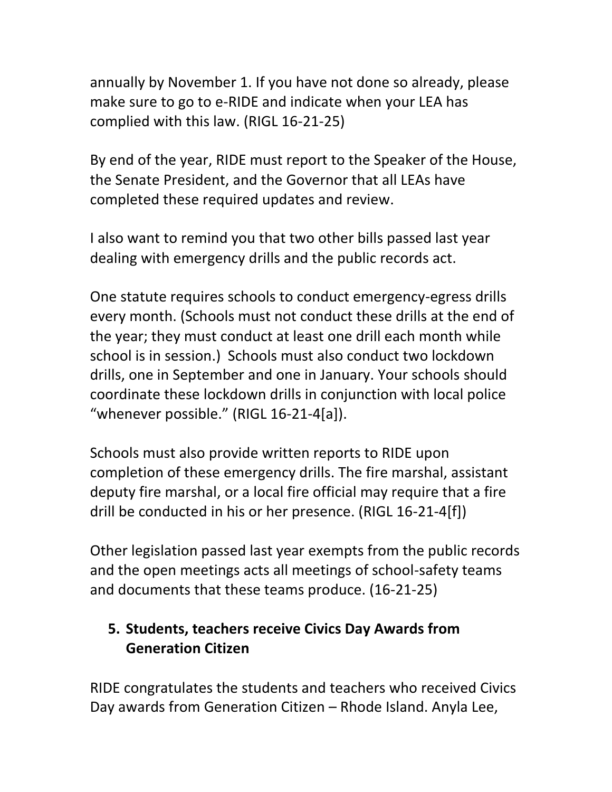annually by November 1. If you have not done so already, please make sure to go to e-RIDE and indicate when your LEA has complied with this law. (RIGL 16-21-25)

By end of the year, RIDE must report to the Speaker of the House, the Senate President, and the Governor that all LEAs have completed these required updates and review.

I also want to remind you that two other bills passed last year dealing with emergency drills and the public records act.

One statute requires schools to conduct emergency-egress drills every month. (Schools must not conduct these drills at the end of the year; they must conduct at least one drill each month while school is in session.) Schools must also conduct two lockdown drills, one in September and one in January. Your schools should coordinate these lockdown drills in conjunction with local police "whenever possible." (RIGL 16-21-4[a]).

Schools must also provide written reports to RIDE upon completion of these emergency drills. The fire marshal, assistant deputy fire marshal, or a local fire official may require that a fire drill be conducted in his or her presence. (RIGL 16-21-4[f])

Other legislation passed last year exempts from the public records and the open meetings acts all meetings of school-safety teams and documents that these teams produce. (16-21-25)

# **5. Students, teachers receive Civics Day Awards from Generation Citizen**

RIDE congratulates the students and teachers who received Civics Day awards from Generation Citizen – Rhode Island. Anyla Lee,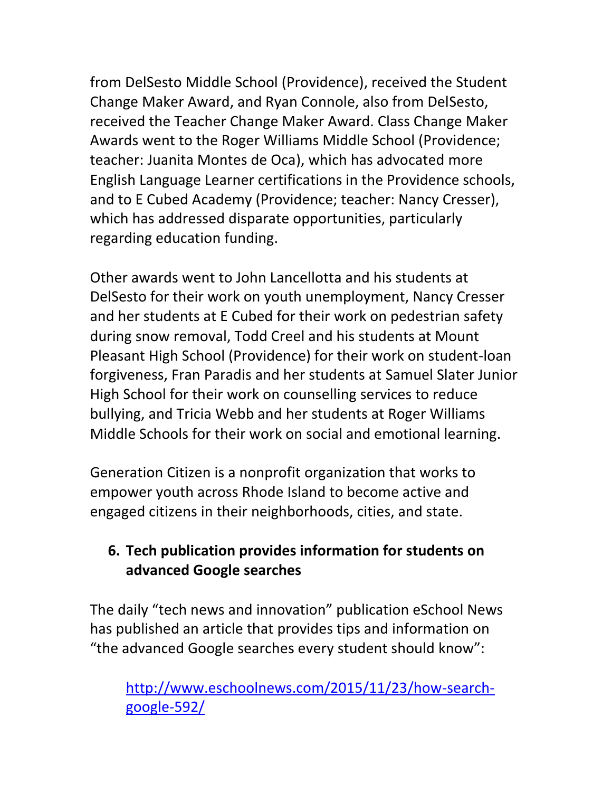from DelSesto Middle School (Providence), received the Student Change Maker Award, and Ryan Connole, also from DelSesto, received the Teacher Change Maker Award. Class Change Maker Awards went to the Roger Williams Middle School (Providence; teacher: Juanita Montes de Oca), which has advocated more English Language Learner certifications in the Providence schools, and to E Cubed Academy (Providence; teacher: Nancy Cresser), which has addressed disparate opportunities, particularly regarding education funding.

Other awards went to John Lancellotta and his students at DelSesto for their work on youth unemployment, Nancy Cresser and her students at E Cubed for their work on pedestrian safety during snow removal, Todd Creel and his students at Mount Pleasant High School (Providence) for their work on student-loan forgiveness, Fran Paradis and her students at Samuel Slater Junior High School for their work on counselling services to reduce bullying, and Tricia Webb and her students at Roger Williams Middle Schools for their work on social and emotional learning.

Generation Citizen is a nonprofit organization that works to empower youth across Rhode Island to become active and engaged citizens in their neighborhoods, cities, and state.

### <span id="page-6-0"></span>**6. Tech publication provides information for students on advanced Google searches**

The daily "tech news and innovation" publication eSchool News has published an article that provides tips and information on "the advanced Google searches every student should know":

[http://www.eschoolnews.com/2015/11/23/how-search](http://www.eschoolnews.com/2015/11/23/how-search-google-592/)[google-592/](http://www.eschoolnews.com/2015/11/23/how-search-google-592/)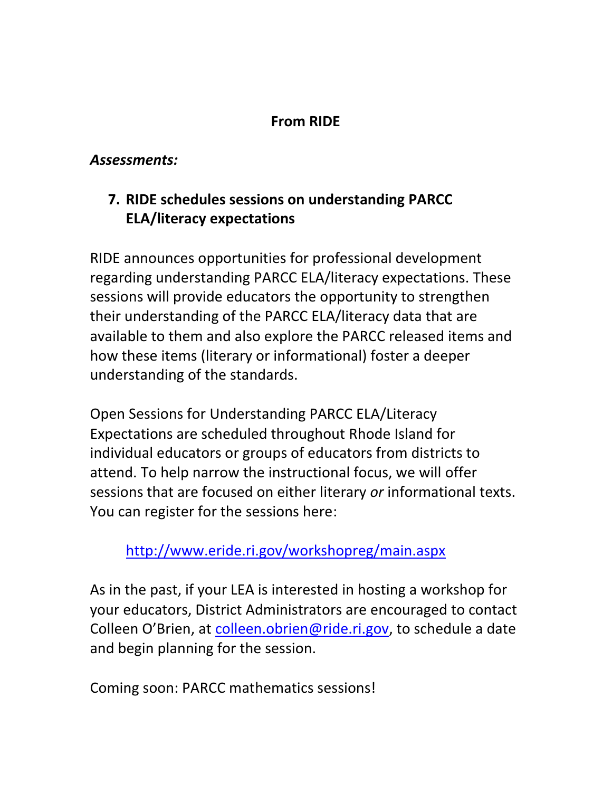### **From RIDE**

#### *Assessments:*

## <span id="page-7-0"></span>**7. RIDE schedules sessions on understanding PARCC ELA/literacy expectations**

RIDE announces opportunities for professional development regarding understanding PARCC ELA/literacy expectations. These sessions will provide educators the opportunity to strengthen their understanding of the PARCC ELA/literacy data that are available to them and also explore the PARCC released items and how these items (literary or informational) foster a deeper understanding of the standards.

Open Sessions for Understanding PARCC ELA/Literacy Expectations are scheduled throughout Rhode Island for individual educators or groups of educators from districts to attend. To help narrow the instructional focus, we will offer sessions that are focused on either literary *or* informational texts. You can register for the sessions here:

### <http://www.eride.ri.gov/workshopreg/main.aspx>

As in the past, if your LEA is interested in hosting a workshop for your educators, District Administrators are encouraged to contact Colleen O'Brien, at [colleen.obrien@ride.ri.gov,](mailto:colleen.obrien@ride.ri.gov) to schedule a date and begin planning for the session.

Coming soon: PARCC mathematics sessions!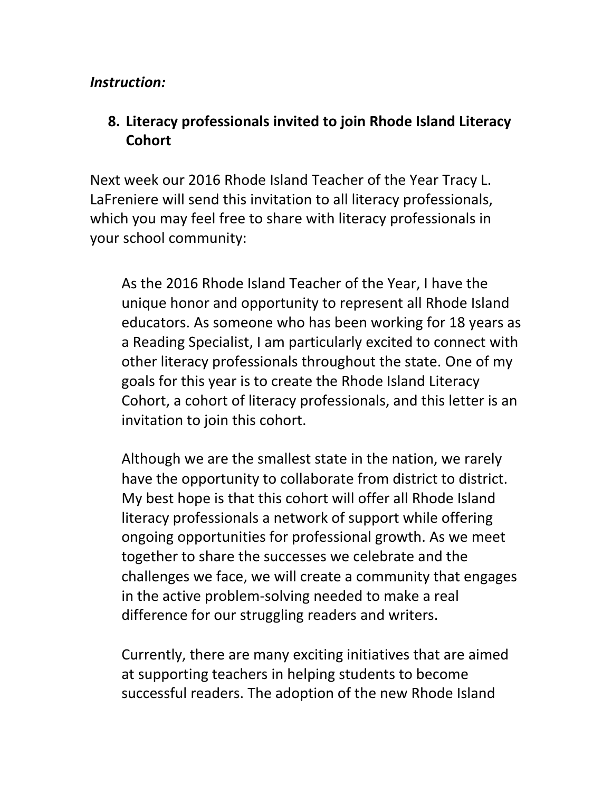#### *Instruction:*

### <span id="page-8-0"></span>**8. Literacy professionals invited to join Rhode Island Literacy Cohort**

Next week our 2016 Rhode Island Teacher of the Year Tracy L. LaFreniere will send this invitation to all literacy professionals, which you may feel free to share with literacy professionals in your school community:

As the 2016 Rhode Island Teacher of the Year, I have the unique honor and opportunity to represent all Rhode Island educators. As someone who has been working for 18 years as a Reading Specialist, I am particularly excited to connect with other literacy professionals throughout the state. One of my goals for this year is to create the Rhode Island Literacy Cohort, a cohort of literacy professionals, and this letter is an invitation to join this cohort.

Although we are the smallest state in the nation, we rarely have the opportunity to collaborate from district to district. My best hope is that this cohort will offer all Rhode Island literacy professionals a network of support while offering ongoing opportunities for professional growth. As we meet together to share the successes we celebrate and the challenges we face, we will create a community that engages in the active problem-solving needed to make a real difference for our struggling readers and writers.

Currently, there are many exciting initiatives that are aimed at supporting teachers in helping students to become successful readers. The adoption of the new Rhode Island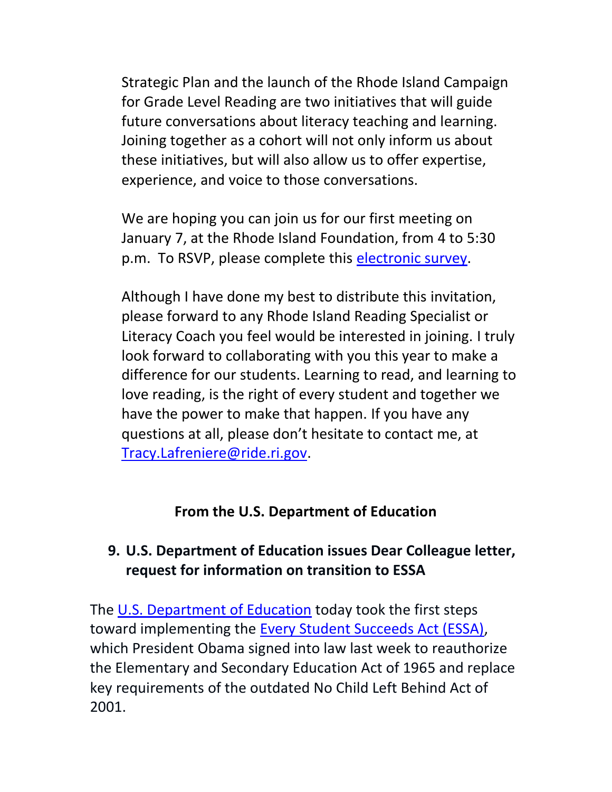Strategic Plan and the launch of the Rhode Island Campaign for Grade Level Reading are two initiatives that will guide future conversations about literacy teaching and learning. Joining together as a cohort will not only inform us about these initiatives, but will also allow us to offer expertise, experience, and voice to those conversations.

We are hoping you can join us for our first meeting on January 7, at the Rhode Island Foundation, from 4 to 5:30 p.m. To RSVP, please complete this [electronic survey.](https://docs.google.com/forms/d/1gkzcc-Yr-zN39494Hbx_pBt2oHQwHEnoKHdNoPLo-ok/viewform)

Although I have done my best to distribute this invitation, please forward to any Rhode Island Reading Specialist or Literacy Coach you feel would be interested in joining. I truly look forward to collaborating with you this year to make a difference for our students. Learning to read, and learning to love reading, is the right of every student and together we have the power to make that happen. If you have any questions at all, please don't hesitate to contact me, at [Tracy.Lafreniere@ride.ri.gov.](mailto:Tracy.Lafreniere@ride.ri.gov)

#### **From the U.S. Department of Education**

### <span id="page-9-0"></span>**9. U.S. Department of Education issues Dear Colleague letter, request for information on transition to ESSA**

The [U.S. Department of Education](http://www.ed.gov/) today took the first steps toward implementing the [Every Student Succeeds Act \(ESSA\),](http://www.ed.gov/esea?src=press-release) which President Obama signed into law last week to reauthorize the Elementary and Secondary Education Act of 1965 and replace key requirements of the outdated No Child Left Behind Act of 2001.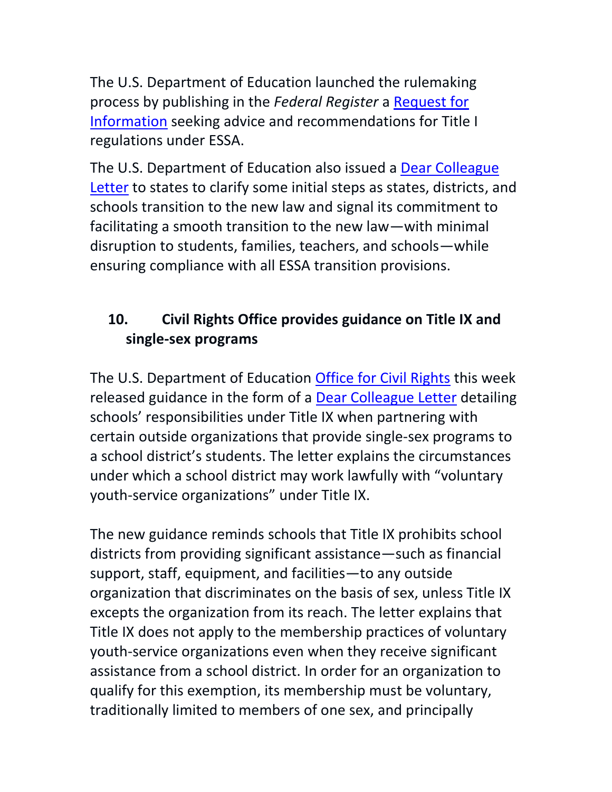The U.S. Department of Education launched the rulemaking process by publishing in the *Federal Register* a [Request for](https://s3.amazonaws.com/public-inspection.federalregister.gov/2015-32178.pdf)  [Information](https://s3.amazonaws.com/public-inspection.federalregister.gov/2015-32178.pdf) seeking advice and recommendations for Title I regulations under ESSA.

The U.S. Department of Education also issued a [Dear Colleague](http://www2.ed.gov/policy/elsec/leg/essa/transition-dcl.pdf) [Letter](http://www2.ed.gov/policy/elsec/leg/essa/transition-dcl.pdf) to states to clarify some initial steps as states, districts, and schools transition to the new law and signal its commitment to facilitating a smooth transition to the new law—with minimal disruption to students, families, teachers, and schools—while ensuring compliance with all ESSA transition provisions.

# **10. Civil Rights Office provides guidance on Title IX and single-sex programs**

The U.S. Department of Education [Office for Civil Rights](http://www2.ed.gov/about/offices/list/ocr/index.html) this week released guidance in the form of a [Dear Colleague Letter](http://www2.ed.gov/about/offices/list/ocr/letters/colleague-201512-voluntary-youth-service-organizations.pdf) detailing schools' responsibilities under Title IX when partnering with certain outside organizations that provide single-sex programs to a school district's students. The letter explains the circumstances under which a school district may work lawfully with "voluntary youth-service organizations" under Title IX.

The new guidance reminds schools that Title IX prohibits school districts from providing significant assistance—such as financial support, staff, equipment, and facilities—to any outside organization that discriminates on the basis of sex, unless Title IX excepts the organization from its reach. The letter explains that Title IX does not apply to the membership practices of voluntary youth-service organizations even when they receive significant assistance from a school district. In order for an organization to qualify for this exemption, its membership must be voluntary, traditionally limited to members of one sex, and principally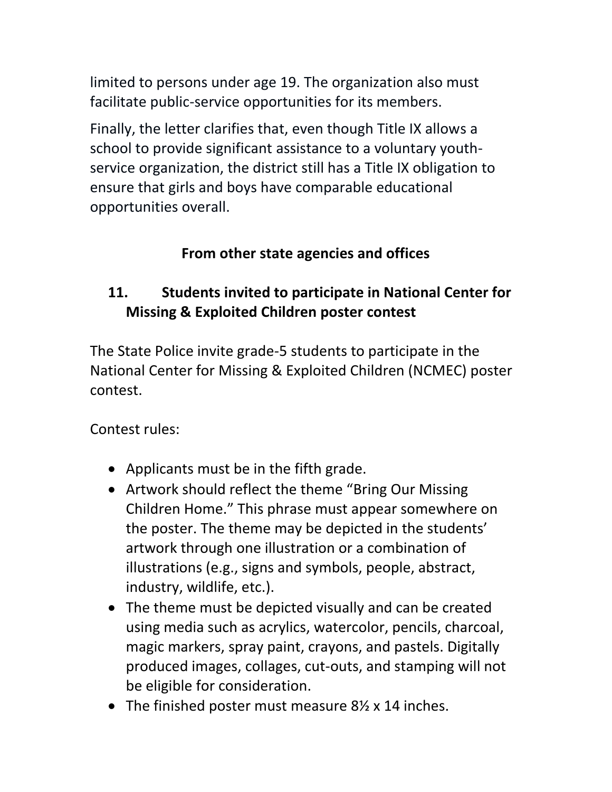limited to persons under age 19. The organization also must facilitate public-service opportunities for its members.

Finally, the letter clarifies that, even though Title IX allows a school to provide significant assistance to a voluntary youthservice organization, the district still has a Title IX obligation to ensure that girls and boys have comparable educational opportunities overall.

## **From other state agencies and offices**

# <span id="page-11-0"></span>**11. Students invited to participate in National Center for Missing & Exploited Children poster contest**

The State Police invite grade-5 students to participate in the National Center for Missing & Exploited Children (NCMEC) poster contest.

Contest rules:

- Applicants must be in the fifth grade.
- Artwork should reflect the theme "Bring Our Missing" Children Home." This phrase must appear somewhere on the poster. The theme may be depicted in the students' artwork through one illustration or a combination of illustrations (e.g., signs and symbols, people, abstract, industry, wildlife, etc.).
- The theme must be depicted visually and can be created using media such as acrylics, watercolor, pencils, charcoal, magic markers, spray paint, crayons, and pastels. Digitally produced images, collages, cut-outs, and stamping will not be eligible for consideration.
- The finished poster must measure 8½ x 14 inches.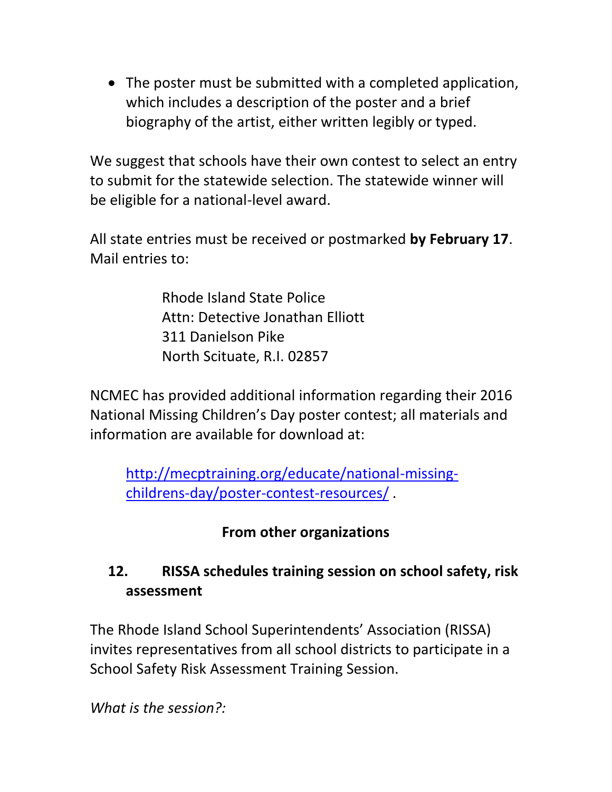The poster must be submitted with a completed application, which includes a description of the poster and a brief biography of the artist, either written legibly or typed.

We suggest that schools have their own contest to select an entry to submit for the statewide selection. The statewide winner will be eligible for a national-level award.

All state entries must be received or postmarked **by February 17**. Mail entries to:

> Rhode Island State Police Attn: Detective Jonathan Elliott 311 Danielson Pike North Scituate, R.I. 02857

NCMEC has provided additional information regarding their 2016 National Missing Children's Day poster contest; all materials and information are available for download at:

[http://mecptraining.org/educate/national-missing](http://mecptraining.org/educate/national-missing-childrens-day/poster-contest-resources/)[childrens-day/poster-contest-resources/](http://mecptraining.org/educate/national-missing-childrens-day/poster-contest-resources/) .

### **From other organizations**

## <span id="page-12-0"></span>**12. RISSA schedules training session on school safety, risk assessment**

The Rhode Island School Superintendents' Association (RISSA) invites representatives from all school districts to participate in a School Safety Risk Assessment Training Session.

*What is the session?:*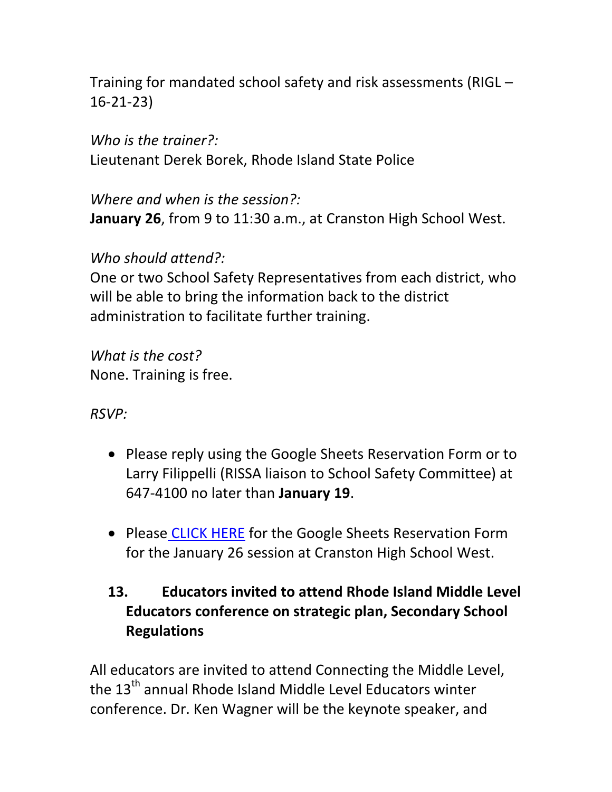Training for mandated school safety and risk assessments (RIGL – 16-21-23)

*Who is the trainer?:* Lieutenant Derek Borek, Rhode Island State Police

*Where and when is the session?:*  **January 26**, from 9 to 11:30 a.m., at Cranston High School West.

*Who should attend?:*

One or two School Safety Representatives from each district, who will be able to bring the information back to the district administration to facilitate further training.

*What is the cost?* None. Training is free.

*RSVP:*

- Please reply using the Google Sheets Reservation Form or to Larry Filippelli (RISSA liaison to School Safety Committee) at 647-4100 no later than **January 19**.
- Please [CLICK HERE](https://docs.google.com/spreadsheets/d/1nIemV8OfYi3ohn5wLltOcqbU8r7MmCpMigjwxUDJ4LU/edit?usp=sharing) for the Google Sheets Reservation Form for the January 26 session at Cranston High School West.

# <span id="page-13-0"></span>**13. Educators invited to attend Rhode Island Middle Level Educators conference on strategic plan, Secondary School Regulations**

All educators are invited to attend Connecting the Middle Level, the 13<sup>th</sup> annual Rhode Island Middle Level Educators winter conference. Dr. Ken Wagner will be the keynote speaker, and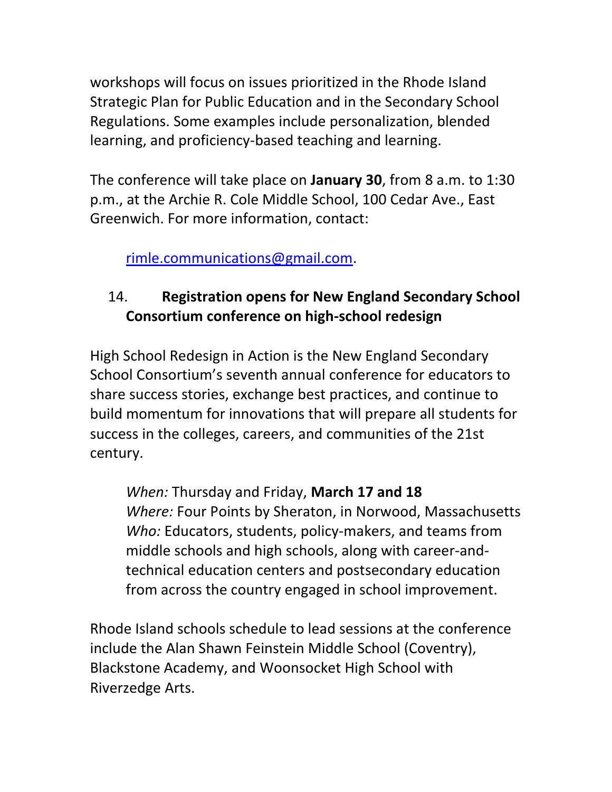workshops will focus on issues prioritized in the Rhode Island Strategic Plan for Public Education and in the Secondary School Regulations. Some examples include personalization, blended learning, and proficiency-based teaching and learning.

The conference will take place on **January 30**, from 8 a.m. to 1:30 p.m., at the Archie R. Cole Middle School, 100 Cedar Ave., East Greenwich. For more information, contact:

[rimle.communications@gmail.com.](mailto:rimle.communications@gmail.com)

# 14. **Registration opens for New England Secondary School Consortium conference on high-school redesign**

High School Redesign in Action is the New England Secondary School Consortium's seventh annual conference for educators to share success stories, exchange best practices, and continue to build momentum for innovations that will prepare all students for success in the colleges, careers, and communities of the 21st century.

*When:* Thursday and Friday, **March 17 and 18** *Where:* Four Points by Sheraton, in Norwood, Massachusetts *Who:* Educators, students, policy-makers, and teams from middle schools and high schools, along with career-andtechnical education centers and postsecondary education from across the country engaged in school improvement.

Rhode Island schools schedule to lead sessions at the conference include the Alan Shawn Feinstein Middle School (Coventry), Blackstone Academy, and Woonsocket High School with Riverzedge Arts.